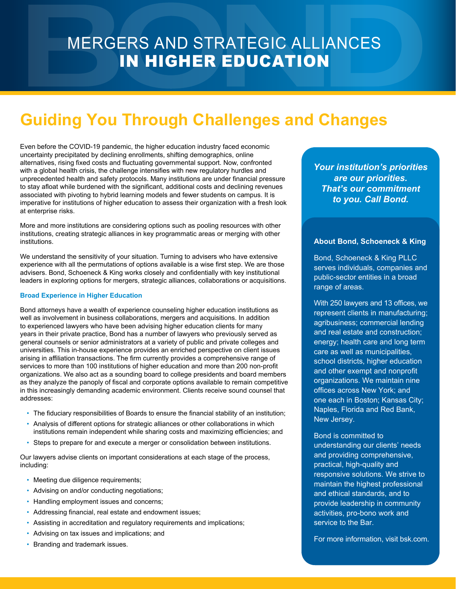### MERGERS AND STRATEGIC ALLIANCES IN HIGHER EDUCATION

## **Guiding You Through Challenges and Changes**

Even before the COVID-19 pandemic, the higher education industry faced economic uncertainty precipitated by declining enrollments, shifting demographics, online alternatives, rising fixed costs and fluctuating governmental support. Now, confronted with a global health crisis, the challenge intensifies with new regulatory hurdles and unprecedented health and safety protocols. Many institutions are under financial pressure to stay afloat while burdened with the significant, additional costs and declining revenues associated with pivoting to hybrid learning models and fewer students on campus. It is imperative for institutions of higher education to assess their organization with a fresh look at enterprise risks.

More and more institutions are considering options such as pooling resources with other institutions, creating strategic alliances in key programmatic areas or merging with other institutions.

We understand the sensitivity of your situation. Turning to advisers who have extensive experience with all the permutations of options available is a wise first step. We are those advisers. Bond, Schoeneck & King works closely and confidentially with key institutional leaders in exploring options for mergers, strategic alliances, collaborations or acquisitions.

#### **Broad Experience in Higher Education**

Bond attorneys have a wealth of experience counseling higher education institutions as well as involvement in business collaborations, mergers and acquisitions. In addition to experienced lawyers who have been advising higher education clients for many years in their private practice, Bond has a number of lawyers who previously served as general counsels or senior administrators at a variety of public and private colleges and universities. This in-house experience provides an enriched perspective on client issues arising in affiliation transactions. The firm currently provides a comprehensive range of services to more than 100 institutions of higher education and more than 200 non-profit organizations. We also act as a sounding board to college presidents and board members as they analyze the panoply of fiscal and corporate options available to remain competitive in this increasingly demanding academic environment. Clients receive sound counsel that addresses:

- The fiduciary responsibilities of Boards to ensure the financial stability of an institution;
- Analysis of different options for strategic alliances or other collaborations in which institutions remain independent while sharing costs and maximizing efficiencies; and
- Steps to prepare for and execute a merger or consolidation between institutions.

Our lawyers advise clients on important considerations at each stage of the process, including:

- Meeting due diligence requirements;
- Advising on and/or conducting negotiations;
- Handling employment issues and concerns;
- Addressing financial, real estate and endowment issues;
- Assisting in accreditation and regulatory requirements and implications;
- Advising on tax issues and implications; and
- Branding and trademark issues.

*Your institution's priorities are our priorities. That's our commitment to you. Call Bond.*

#### **About Bond, Schoeneck & King**

Bond, Schoeneck & King PLLC serves individuals, companies and public-sector entities in a broad range of areas.

With 250 lawyers and 13 offices, we represent clients in manufacturing; agribusiness; commercial lending and real estate and construction; energy; health care and long term care as well as municipalities, school districts, higher education and other exempt and nonprofit organizations. We maintain nine offices across New York; and one each in Boston; Kansas City; Naples, Florida and Red Bank, New Jersey.

Bond is committed to understanding our clients' needs and providing comprehensive, practical, high-quality and responsive solutions. We strive to maintain the highest professional and ethical standards, and to provide leadership in community activities, pro-bono work and service to the Bar.

For more information, visit bsk.com.